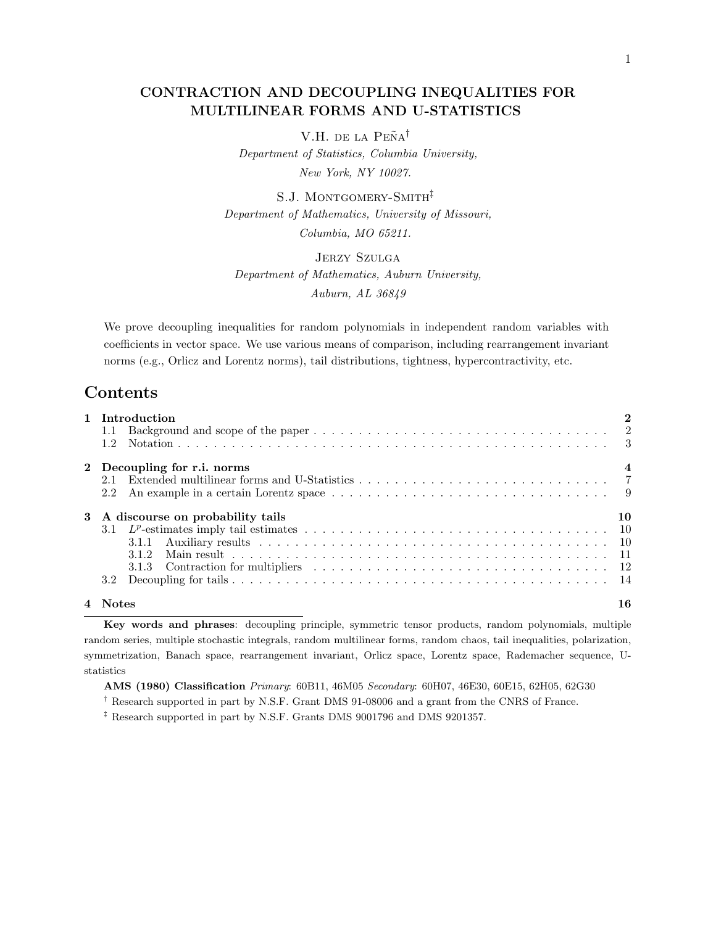## CONTRACTION AND DECOUPLING INEQUALITIES FOR MULTILINEAR FORMS AND U-STATISTICS

V.H. de la Peña<sup>†</sup> Department of Statistics, Columbia University, New York, NY 10027.

S.J. MONTGOMERY-SMITH<sup>‡</sup> Department of Mathematics, University of Missouri, Columbia, MO 65211.

Jerzy Szulga Department of Mathematics, Auburn University, Auburn, AL 36849

We prove decoupling inequalities for random polynomials in independent random variables with coefficients in vector space. We use various means of comparison, including rearrangement invariant norms (e.g., Orlicz and Lorentz norms), tail distributions, tightness, hypercontractivity, etc.

## Contents

|   | 1 Introduction                   |                  |
|---|----------------------------------|------------------|
|   | 1.1                              |                  |
|   | 1.2                              |                  |
|   | 2 Decoupling for r.i. norms      | $\boldsymbol{4}$ |
|   | 2.1                              |                  |
|   | 2.2                              |                  |
| 3 | A discourse on probability tails | 10               |
|   |                                  |                  |
|   | 3.1.1                            |                  |
|   | 312                              |                  |
|   | 3.1.3                            |                  |
|   | 3.2                              |                  |
|   | <b>Notes</b>                     | 16               |

Key words and phrases: decoupling principle, symmetric tensor products, random polynomials, multiple random series, multiple stochastic integrals, random multilinear forms, random chaos, tail inequalities, polarization, symmetrization, Banach space, rearrangement invariant, Orlicz space, Lorentz space, Rademacher sequence, Ustatistics

AMS (1980) Classification Primary: 60B11, 46M05 Secondary: 60H07, 46E30, 60E15, 62H05, 62G30

† Research supported in part by N.S.F. Grant DMS 91-08006 and a grant from the CNRS of France.

 $^\ddag$  Research supported in part by N.S.F. Grants DMS 9001796 and DMS 9201357.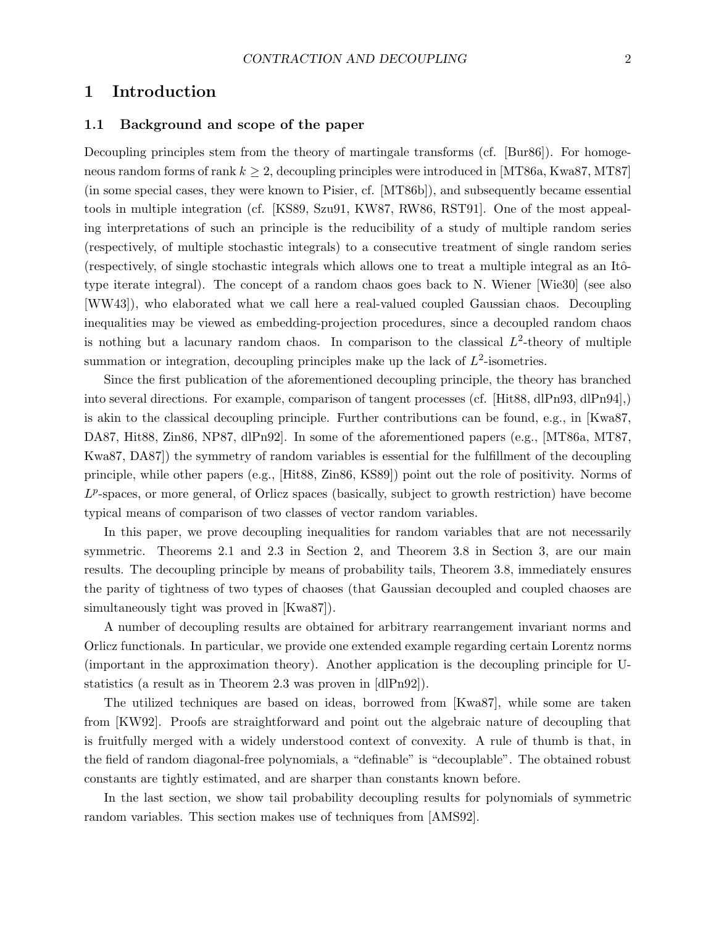## 1 Introduction

## 1.1 Background and scope of the paper

Decoupling principles stem from the theory of martingale transforms (cf. [Bur86]). For homogeneous random forms of rank  $k \geq 2$ , decoupling principles were introduced in [MT86a, Kwa87, MT87] (in some special cases, they were known to Pisier, cf. [MT86b]), and subsequently became essential tools in multiple integration (cf. [KS89, Szu91, KW87, RW86, RST91]. One of the most appealing interpretations of such an principle is the reducibility of a study of multiple random series (respectively, of multiple stochastic integrals) to a consecutive treatment of single random series (respectively, of single stochastic integrals which allows one to treat a multiple integral as an Itôtype iterate integral). The concept of a random chaos goes back to N. Wiener [Wie30] (see also [WW43]), who elaborated what we call here a real-valued coupled Gaussian chaos. Decoupling inequalities may be viewed as embedding-projection procedures, since a decoupled random chaos is nothing but a lacunary random chaos. In comparison to the classical  $L^2$ -theory of multiple summation or integration, decoupling principles make up the lack of  $L^2$ -isometries.

Since the first publication of the aforementioned decoupling principle, the theory has branched into several directions. For example, comparison of tangent processes (cf. [Hit88, dlPn93, dlPn94],) is akin to the classical decoupling principle. Further contributions can be found, e.g., in [Kwa87, DA87, Hit88, Zin86, NP87, dlPn92]. In some of the aforementioned papers (e.g., [MT86a, MT87, Kwa87, DA87]) the symmetry of random variables is essential for the fulfillment of the decoupling principle, while other papers (e.g., [Hit88, Zin86, KS89]) point out the role of positivity. Norms of  $L^p$ -spaces, or more general, of Orlicz spaces (basically, subject to growth restriction) have become typical means of comparison of two classes of vector random variables.

In this paper, we prove decoupling inequalities for random variables that are not necessarily symmetric. Theorems 2.1 and 2.3 in Section 2, and Theorem 3.8 in Section 3, are our main results. The decoupling principle by means of probability tails, Theorem 3.8, immediately ensures the parity of tightness of two types of chaoses (that Gaussian decoupled and coupled chaoses are simultaneously tight was proved in [Kwa87]).

A number of decoupling results are obtained for arbitrary rearrangement invariant norms and Orlicz functionals. In particular, we provide one extended example regarding certain Lorentz norms (important in the approximation theory). Another application is the decoupling principle for Ustatistics (a result as in Theorem 2.3 was proven in [dlPn92]).

The utilized techniques are based on ideas, borrowed from [Kwa87], while some are taken from [KW92]. Proofs are straightforward and point out the algebraic nature of decoupling that is fruitfully merged with a widely understood context of convexity. A rule of thumb is that, in the field of random diagonal-free polynomials, a "definable" is "decouplable". The obtained robust constants are tightly estimated, and are sharper than constants known before.

In the last section, we show tail probability decoupling results for polynomials of symmetric random variables. This section makes use of techniques from [AMS92].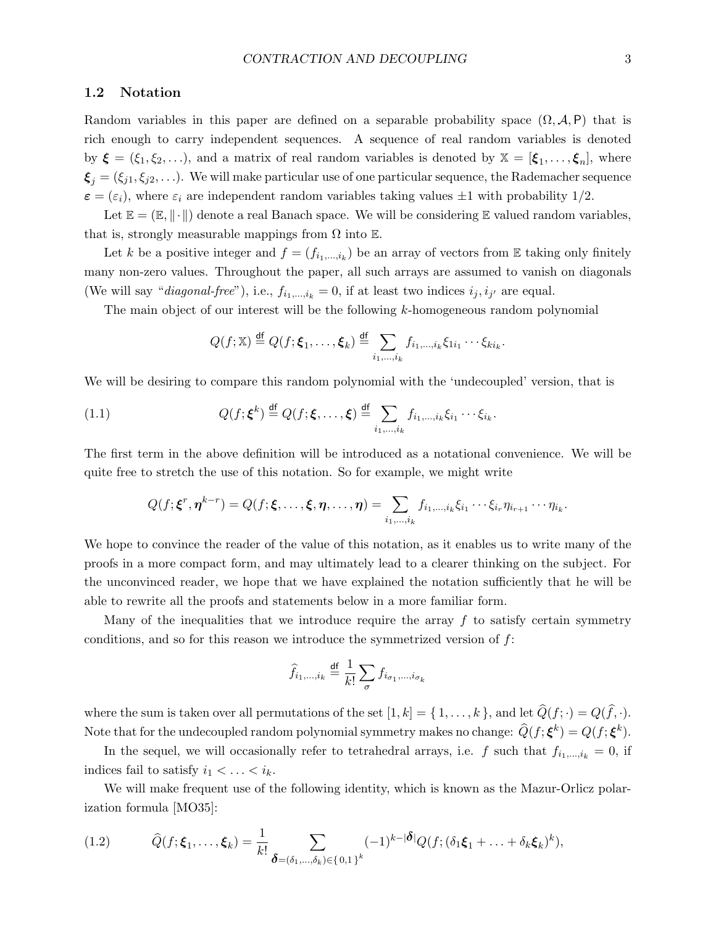### 1.2 Notation

Random variables in this paper are defined on a separable probability space  $(\Omega, \mathcal{A}, P)$  that is rich enough to carry independent sequences. A sequence of real random variables is denoted by  $\boldsymbol{\xi} = (\xi_1, \xi_2, \ldots)$ , and a matrix of real random variables is denoted by  $\mathbb{X} = [\xi_1, \ldots, \xi_n]$ , where  $\boldsymbol{\xi}_j = (\xi_{j1}, \xi_{j2}, \ldots)$ . We will make particular use of one particular sequence, the Rademacher sequence  $\varepsilon = (\varepsilon_i)$ , where  $\varepsilon_i$  are independent random variables taking values  $\pm 1$  with probability 1/2.

Let  $\mathbb{E} = (\mathbb{E}, \|\cdot\|)$  denote a real Banach space. We will be considering  $\mathbb{E}$  valued random variables, that is, strongly measurable mappings from  $\Omega$  into  $\mathbb E$ .

Let k be a positive integer and  $f = (f_{i_1,\ldots,i_k})$  be an array of vectors from E taking only finitely many non-zero values. Throughout the paper, all such arrays are assumed to vanish on diagonals (We will say "*diagonal-free*"), i.e.,  $f_{i_1,\dots,i_k} = 0$ , if at least two indices  $i_j, i_{j'}$  are equal.

The main object of our interest will be the following k-homogeneous random polynomial

$$
Q(f; \mathbb{X}) \stackrel{\text{df}}{=} Q(f; \boldsymbol{\xi}_1, \dots, \boldsymbol{\xi}_k) \stackrel{\text{df}}{=} \sum_{i_1, \dots, i_k} f_{i_1, \dots, i_k} \xi_{1i_1} \cdots \xi_{ki_k}.
$$

We will be desiring to compare this random polynomial with the 'undecoupled' version, that is

(1.1) 
$$
Q(f; \boldsymbol{\xi}^k) \stackrel{\text{df}}{=} Q(f; \boldsymbol{\xi}, \dots, \boldsymbol{\xi}) \stackrel{\text{df}}{=} \sum_{i_1, \dots, i_k} f_{i_1, \dots, i_k} \xi_{i_1} \cdots \xi_{i_k}.
$$

The first term in the above definition will be introduced as a notational convenience. We will be quite free to stretch the use of this notation. So for example, we might write

$$
Q(f; \boldsymbol{\xi}^r, \boldsymbol{\eta}^{k-r}) = Q(f; \boldsymbol{\xi}, \dots, \boldsymbol{\xi}, \boldsymbol{\eta}, \dots, \boldsymbol{\eta}) = \sum_{i_1, \dots, i_k} f_{i_1, \dots, i_k} \xi_{i_1} \cdots \xi_{i_r} \eta_{i_{r+1}} \cdots \eta_{i_k}.
$$

We hope to convince the reader of the value of this notation, as it enables us to write many of the proofs in a more compact form, and may ultimately lead to a clearer thinking on the subject. For the unconvinced reader, we hope that we have explained the notation sufficiently that he will be able to rewrite all the proofs and statements below in a more familiar form.

Many of the inequalities that we introduce require the array  $f$  to satisfy certain symmetry conditions, and so for this reason we introduce the symmetrized version of  $f$ :

$$
\widehat{f}_{i_1,\dots,i_k} \stackrel{\mathrm{df}}{=} \frac{1}{k!} \sum_{\sigma} f_{i_{\sigma_1},\dots,i_{\sigma_k}}
$$

where the sum is taken over all permutations of the set  $[1, k] = \{1, \ldots, k\}$ , and let  $\widehat{Q}(f; \cdot) = Q(\widehat{f}, \cdot)$ . Note that for the undecoupled random polynomial symmetry makes no change:  $\hat{Q}(f; \boldsymbol{\xi}^k) = Q(f; \boldsymbol{\xi}^k)$ .

In the sequel, we will occasionally refer to tetrahedral arrays, i.e. f such that  $f_{i_1,\dots,i_k} = 0$ , if indices fail to satisfy  $i_1 < \ldots < i_k$ .

We will make frequent use of the following identity, which is known as the Mazur-Orlicz polarization formula [MO35]:

(1.2) 
$$
\widehat{Q}(f; \xi_1, \ldots, \xi_k) = \frac{1}{k!} \sum_{\pmb{\delta} = (\delta_1, \ldots, \delta_k) \in \{0, 1\}^k} (-1)^{k - |\pmb{\delta}|} Q(f; (\delta_1 \xi_1 + \ldots + \delta_k \xi_k)^k),
$$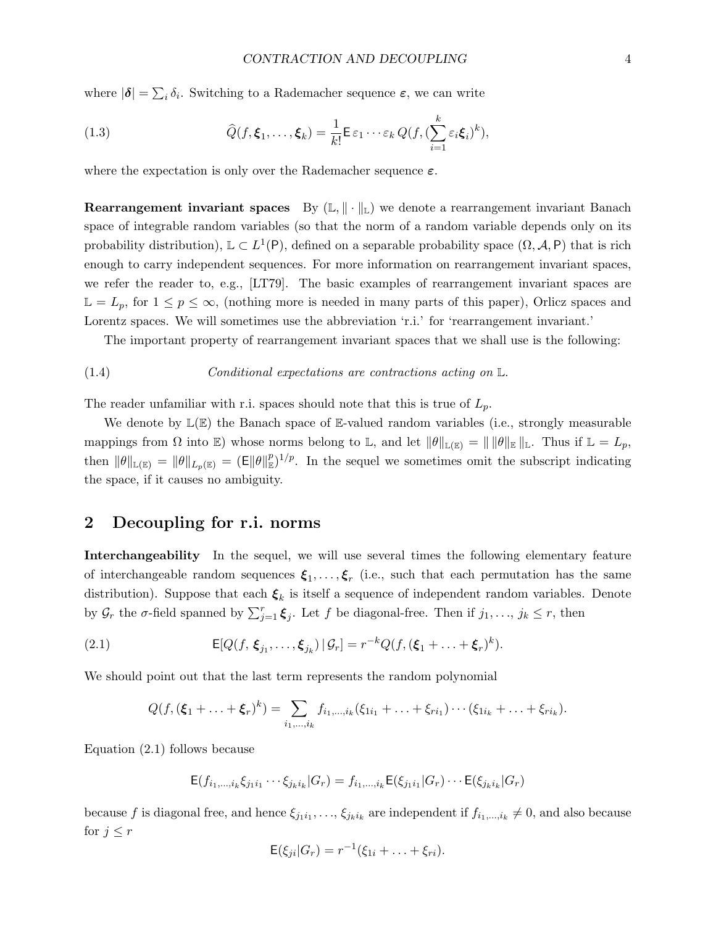where  $|\boldsymbol{\delta}| = \sum_i \delta_i$ . Switching to a Rademacher sequence  $\boldsymbol{\varepsilon}$ , we can write

(1.3) 
$$
\widehat{Q}(f, \xi_1, \ldots, \xi_k) = \frac{1}{k!} \mathsf{E} \, \varepsilon_1 \cdots \varepsilon_k \, Q(f, (\sum_{i=1}^k \varepsilon_i \xi_i)^k),
$$

where the expectation is only over the Rademacher sequence  $\varepsilon$ .

Rearrangement invariant spaces By  $(L, \|\cdot\|_{L})$  we denote a rearrangement invariant Banach space of integrable random variables (so that the norm of a random variable depends only on its probability distribution),  $\mathbb{L} \subset L^1(\mathsf{P})$ , defined on a separable probability space  $(\Omega, \mathcal{A}, \mathsf{P})$  that is rich enough to carry independent sequences. For more information on rearrangement invariant spaces, we refer the reader to, e.g., [LT79]. The basic examples of rearrangement invariant spaces are  $\mathbb{L} = L_p$ , for  $1 \leq p \leq \infty$ , (nothing more is needed in many parts of this paper), Orlicz spaces and Lorentz spaces. We will sometimes use the abbreviation 'r.i.' for 'rearrangement invariant.'

The important property of rearrangement invariant spaces that we shall use is the following:

(1.4) *Conditional expectations are contractions acting on* 
$$
\mathbb{L}
$$
.

The reader unfamiliar with r.i. spaces should note that this is true of  $L_p$ .

We denote by  $\mathbb{L}(\mathbb{E})$  the Banach space of  $\mathbb{E}\text{-valued random variables}$  (i.e., strongly measurable mappings from  $\Omega$  into E) whose norms belong to L, and let  $\|\theta\|_{\mathbb{L}(\mathbb{E})} = \|\|\theta\|_{\mathbb{E}}\|_{\mathbb{L}}$ . Thus if  $\mathbb{L} = L_p$ , then  $\|\theta\|_{\mathbb{L}(\mathbb{E})} = \|\theta\|_{L_p(\mathbb{E})} = (\mathsf{E} \|\theta\|_{\mathbb{E}}^p)^{1/p}$ . In the sequel we sometimes omit the subscript indicating the space, if it causes no ambiguity.

## 2 Decoupling for r.i. norms

Interchangeability In the sequel, we will use several times the following elementary feature of interchangeable random sequences  $\xi_1, \ldots, \xi_r$  (i.e., such that each permutation has the same distribution). Suppose that each  $\xi_k$  is itself a sequence of independent random variables. Denote by  $\mathcal{G}_r$  the  $\sigma$ -field spanned by  $\sum_{j=1}^r \xi_j$ . Let f be diagonal-free. Then if  $j_1, \ldots, j_k \leq r$ , then

(2.1) 
$$
\mathsf{E}[Q(f, \boldsymbol{\xi}_{j_1}, \ldots, \boldsymbol{\xi}_{j_k}) \,|\, \mathcal{G}_r] = r^{-k} Q(f, (\boldsymbol{\xi}_1 + \ldots + \boldsymbol{\xi}_r)^k).
$$

We should point out that the last term represents the random polynomial

$$
Q(f, (\xi_1 + \ldots + \xi_r)^k) = \sum_{i_1, \ldots, i_k} f_{i_1, \ldots, i_k}(\xi_{1i_1} + \ldots + \xi_{ri_1}) \cdots (\xi_{1i_k} + \ldots + \xi_{ri_k}).
$$

Equation (2.1) follows because

$$
\mathsf{E}(f_{i_1,\ldots,i_k}\xi_{j_1i_1}\cdots \xi_{j_ki_k}|G_r)=f_{i_1,\ldots,i_k}\mathsf{E}(\xi_{j_1i_1}|G_r)\cdots \mathsf{E}(\xi_{j_ki_k}|G_r)
$$

because f is diagonal free, and hence  $\xi_{j_1i_1},\ldots,\xi_{j_ki_k}$  are independent if  $f_{i_1,\ldots,i_k}\neq 0$ , and also because for  $j \leq r$ 

$$
\mathsf{E}(\xi_{ji}|G_r)=r^{-1}(\xi_{1i}+\ldots+\xi_{ri}).
$$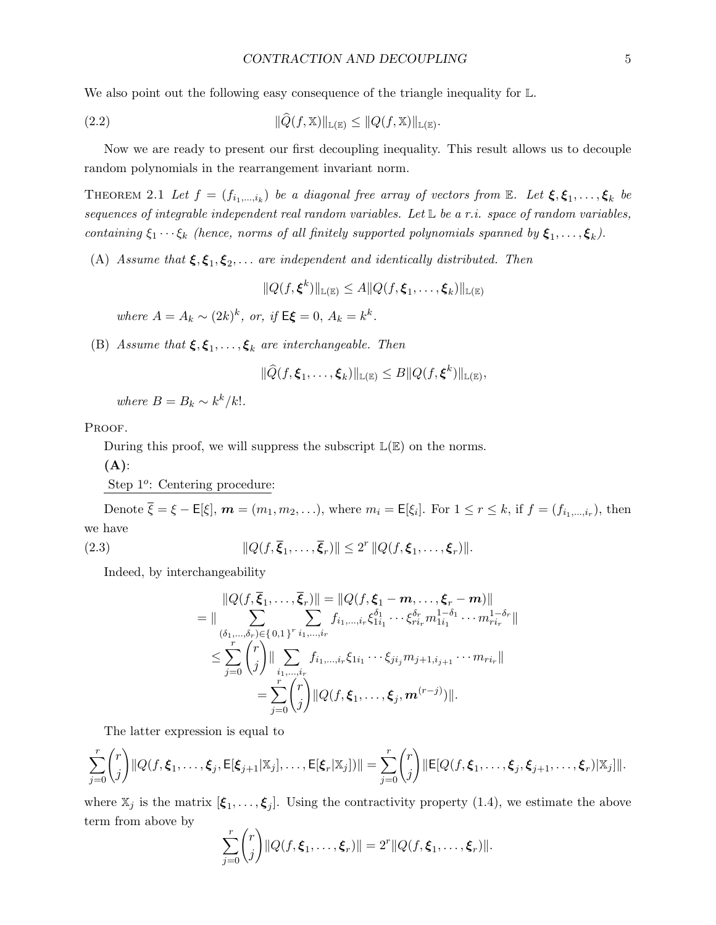We also point out the following easy consequence of the triangle inequality for  $\mathbb{L}$ .

(2.2) 
$$
\|\widehat{Q}(f,\mathbb{X})\|_{\mathbb{L}(\mathbb{E})} \leq \|Q(f,\mathbb{X})\|_{\mathbb{L}(\mathbb{E})}.
$$

Now we are ready to present our first decoupling inequality. This result allows us to decouple random polynomials in the rearrangement invariant norm.

THEOREM 2.1 Let  $f = (f_{i_1,...,i_k})$  be a diagonal free array of vectors from  $\mathbb{E}$ . Let  $\xi, \xi_1,..., \xi_k$  be sequences of integrable independent real random variables. Let  $L$  be a r.i. space of random variables, containing  $\xi_1 \cdots \xi_k$  (hence, norms of all finitely supported polynomials spanned by  $\xi_1, \ldots, \xi_k$ ).

(A) Assume that  $\xi, \xi_1, \xi_2, \ldots$  are independent and identically distributed. Then

$$
||Q(f,\boldsymbol{\xi}^k)||_{\mathbb{L}(\mathbb{E})} \leq A||Q(f,\boldsymbol{\xi}_1,\ldots,\boldsymbol{\xi}_k)||_{\mathbb{L}(\mathbb{E})}
$$

where  $A = A_k \sim (2k)^k$ , or, if  $E\xi = 0$ ,  $A_k = k^k$ .

(B) Assume that  $\xi, \xi_1, \ldots, \xi_k$  are interchangeable. Then

$$
\|\widehat{Q}(f,\boldsymbol{\xi}_1,\ldots,\boldsymbol{\xi}_k)\|_{\mathbb{L}(\mathbb{E})}\leq B\|Q(f,\boldsymbol{\xi}^k)\|_{\mathbb{L}(\mathbb{E})},
$$

where  $B = B_k \sim k^k / k!$ .

PROOF.

During this proof, we will suppress the subscript  $\mathbb{L}(\mathbb{E})$  on the norms.

 $(A)$ :

Step 1<sup>o</sup>: Centering procedure:

Denote  $\overline{\xi} = \xi - \mathsf{E}[\xi], \, \boldsymbol{m} = (m_1, m_2, \ldots),$  where  $m_i = \mathsf{E}[\xi_i]$ . For  $1 \le r \le k$ , if  $f = (f_{i_1,\ldots,i_r})$ , then we have

(2.3) 
$$
||Q(f,\overline{\xi}_1,\ldots,\overline{\xi}_r)|| \leq 2^r ||Q(f,\xi_1,\ldots,\xi_r)||.
$$

Indeed, by interchangeability

$$
\|Q(f,\overline{\xi}_{1},\ldots,\overline{\xi}_{r})\| = \|Q(f,\xi_{1}-m,\ldots,\xi_{r}-m)\| \n= \|\sum_{(\delta_{1},\ldots,\delta_{r})\in\{0,1\}^{r}}\sum_{i_{1},\ldots,i_{r}}f_{i_{1},\ldots,i_{r}}\xi_{1i_{1}}^{\delta_{1}}\cdots\xi_{ri_{r}}^{\delta_{r}}m_{1i_{1}}^{1-\delta_{1}}\cdots m_{ri_{r}}^{1-\delta_{r}}\| \n\leq \sum_{j=0}^{r} {r \choose j} \|\sum_{i_{1},\ldots,i_{r}}f_{i_{1},\ldots,i_{r}}\xi_{1i_{1}}\cdots\xi_{ji_{j}}m_{j+1,i_{j+1}}\cdots m_{ri_{r}}\| \n= \sum_{j=0}^{r} {r \choose j} \|Q(f,\xi_{1},\ldots,\xi_{j},m^{(r-j)})\|.
$$

The latter expression is equal to

$$
\sum_{j=0}^r \binom{r}{j} ||Q(f, \xi_1, \ldots, \xi_j, E[\xi_{j+1} | \mathbb{X}_j], \ldots, E[\xi_r | \mathbb{X}_j])|| = \sum_{j=0}^r \binom{r}{j} ||E[Q(f, \xi_1, \ldots, \xi_j, \xi_{j+1}, \ldots, \xi_r) | \mathbb{X}_j]||.
$$

where  $\mathbb{X}_j$  is the matrix  $[\xi_1, \ldots, \xi_j]$ . Using the contractivity property (1.4), we estimate the above term from above by

$$
\sum_{j=0}^r \binom{r}{j} ||Q(f, \xi_1, \dots, \xi_r)|| = 2^r ||Q(f, \xi_1, \dots, \xi_r)||.
$$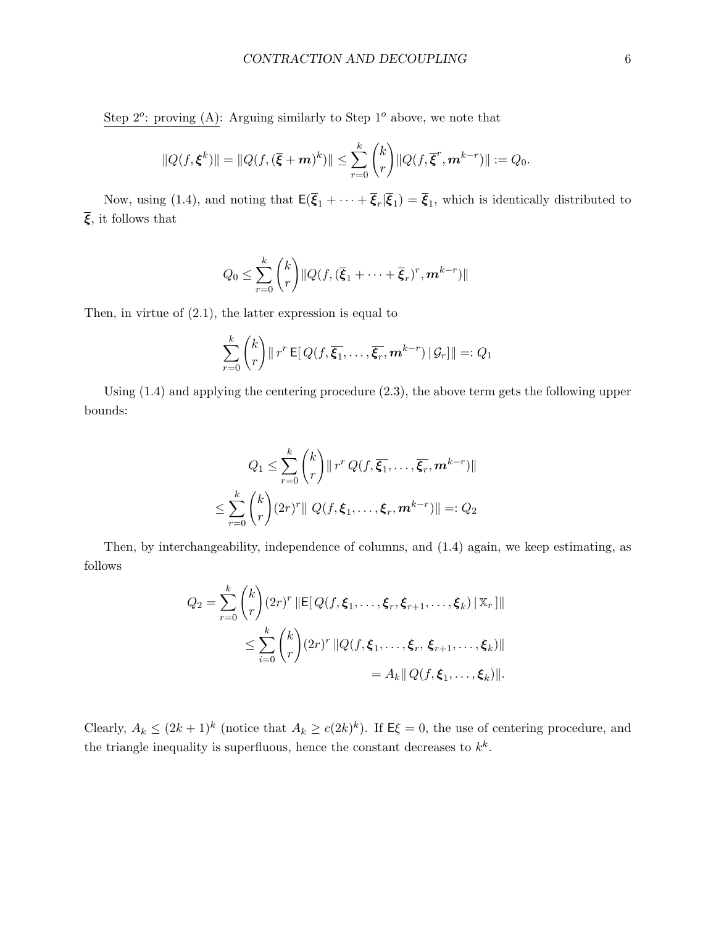Step  $2^o$ : proving (A): Arguing similarly to Step  $1^o$  above, we note that

$$
||Q(f,\boldsymbol{\xi}^k)|| = ||Q(f,(\overline{\boldsymbol{\xi}}+\boldsymbol{m})^k)|| \leq \sum_{r=0}^k {k \choose r} ||Q(f,\overline{\boldsymbol{\xi}}^r,\boldsymbol{m}^{k-r})|| := Q_0.
$$

Now, using (1.4), and noting that  $E(\overline{\xi}_1 + \cdots + \overline{\xi}_r | \overline{\xi}_1) = \overline{\xi}_1$ , which is identically distributed to  $\overline{\xi}$ , it follows that

$$
Q_0 \leq \sum_{r=0}^k {k \choose r} ||Q(f, (\overline{\xi}_1 + \cdots + \overline{\xi}_r)^r, \mathbf{m}^{k-r})||
$$

Then, in virtue of (2.1), the latter expression is equal to

$$
\sum_{r=0}^k {k \choose r} || r^r \mathsf{E} [Q(f, \overline{\xi_1}, \dots, \overline{\xi_r}, \mathbf{m}^{k-r}) | \mathcal{G}_r] || =: Q_1
$$

Using (1.4) and applying the centering procedure (2.3), the above term gets the following upper bounds:

$$
Q_1 \leq \sum_{r=0}^k {k \choose r} ||r^r Q(f, \overline{\xi_1}, \dots, \overline{\xi_r}, m^{k-r})||
$$
  

$$
\leq \sum_{r=0}^k {k \choose r} (2r)^r ||Q(f, \xi_1, \dots, \xi_r, m^{k-r})|| =: Q_2
$$

Then, by interchangeability, independence of columns, and (1.4) again, we keep estimating, as follows

$$
Q_2 = \sum_{r=0}^k {k \choose r} (2r)^r \|\mathsf{E}[Q(f, \xi_1, \dots, \xi_r, \xi_{r+1}, \dots, \xi_k) \|\mathbb{X}_r] \|
$$
  

$$
\leq \sum_{i=0}^k {k \choose r} (2r)^r \|Q(f, \xi_1, \dots, \xi_r, \xi_{r+1}, \dots, \xi_k) \|
$$
  

$$
= A_k \|Q(f, \xi_1, \dots, \xi_k) \|.
$$

Clearly,  $A_k \leq (2k+1)^k$  (notice that  $A_k \geq c(2k)^k$ ). If  $E\xi = 0$ , the use of centering procedure, and the triangle inequality is superfluous, hence the constant decreases to  $k^k$ .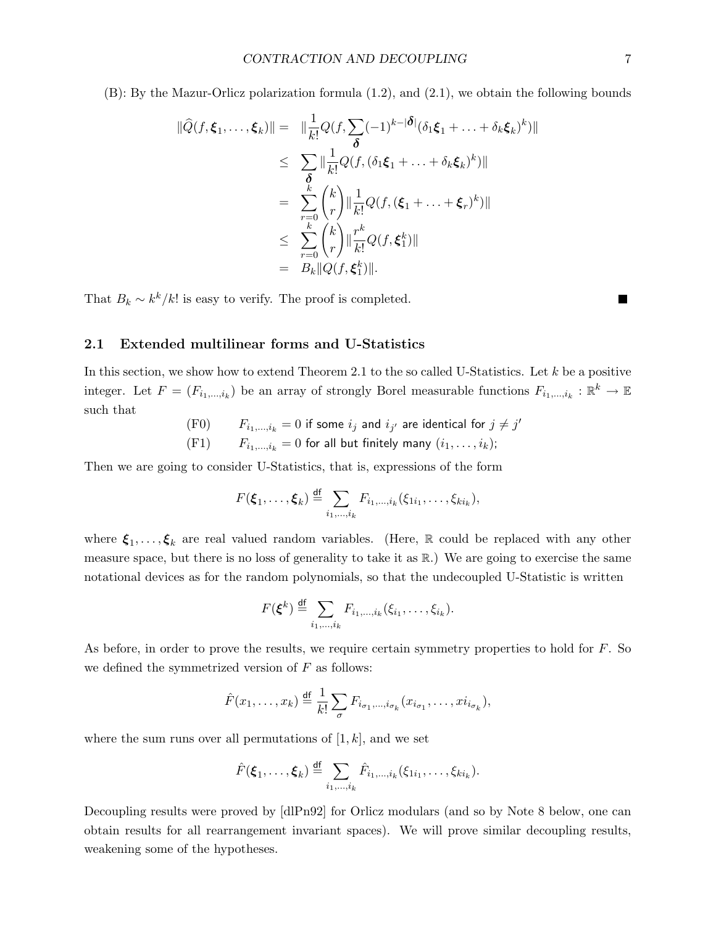(B): By the Mazur-Orlicz polarization formula (1.2), and (2.1), we obtain the following bounds

$$
\|\widehat{Q}(f,\xi_1,\ldots,\xi_k)\| = \|\frac{1}{k!}Q(f,\sum_{\delta}(-1)^{k-|\delta|}(\delta_1\xi_1+\ldots+\delta_k\xi_k)^k)\|
$$
  
\n
$$
\leq \sum_{\delta} \|\frac{1}{k!}Q(f,(\delta_1\xi_1+\ldots+\delta_k\xi_k)^k)\|
$$
  
\n
$$
= \sum_{r=0}^k {k \choose r} \|\frac{1}{k!}Q(f,(\xi_1+\ldots+\xi_r)^k)\|
$$
  
\n
$$
\leq \sum_{r=0}^k {k \choose r} \|\frac{r^k}{k!}Q(f,\xi_1^k)\|
$$
  
\n
$$
= B_k \|Q(f,\xi_1^k)\|.
$$

That  $B_k \sim k^k/k!$  is easy to verify. The proof is completed.

### 2.1 Extended multilinear forms and U-Statistics

In this section, we show how to extend Theorem 2.1 to the so called U-Statistics. Let  $k$  be a positive integer. Let  $F = (F_{i_1,\ldots,i_k})$  be an array of strongly Borel measurable functions  $F_{i_1,\ldots,i_k}: \mathbb{R}^k \to \mathbb{E}$ such that

- (F0)  $F_{i_1,...,i_k} = 0$  if some  $i_j$  and  $i_{j'}$  are identical for  $j \neq j'$
- (F1)  $F_{i_1,...,i_k} = 0$  for all but finitely many  $(i_1,...,i_k)$ ;

Then we are going to consider U-Statistics, that is, expressions of the form

$$
F(\boldsymbol{\xi}_1,\ldots,\boldsymbol{\xi}_k)\stackrel{\mathrm{df}}{=} \sum_{i_1,\ldots,i_k} F_{i_1,\ldots,i_k}(\xi_{1i_1},\ldots,\xi_{ki_k}),
$$

where  $\xi_1, \ldots, \xi_k$  are real valued random variables. (Here, R could be replaced with any other measure space, but there is no loss of generality to take it as R.) We are going to exercise the same notational devices as for the random polynomials, so that the undecoupled U-Statistic is written

$$
F(\boldsymbol{\xi}^k) \stackrel{\mathrm{df}}{=} \sum_{i_1,\ldots,i_k} F_{i_1,\ldots,i_k}(\xi_{i_1},\ldots,\xi_{i_k}).
$$

As before, in order to prove the results, we require certain symmetry properties to hold for F. So we defined the symmetrized version of  $F$  as follows:

$$
\hat{F}(x_1,\ldots,x_k) \stackrel{\text{df}}{=} \frac{1}{k!} \sum_{\sigma} F_{i_{\sigma_1},\ldots,i_{\sigma_k}}(x_{i_{\sigma_1}},\ldots,x_{i_{\sigma_k}}),
$$

where the sum runs over all permutations of  $[1, k]$ , and we set

$$
\hat{F}(\boldsymbol{\xi}_1,\ldots,\boldsymbol{\xi}_k)\stackrel{\mathrm{df}}{=} \sum_{i_1,\ldots,i_k} \hat{F}_{i_1,\ldots,i_k}(\xi_{1i_1},\ldots,\xi_{ki_k}).
$$

Decoupling results were proved by [dlPn92] for Orlicz modulars (and so by Note 8 below, one can obtain results for all rearrangement invariant spaces). We will prove similar decoupling results, weakening some of the hypotheses.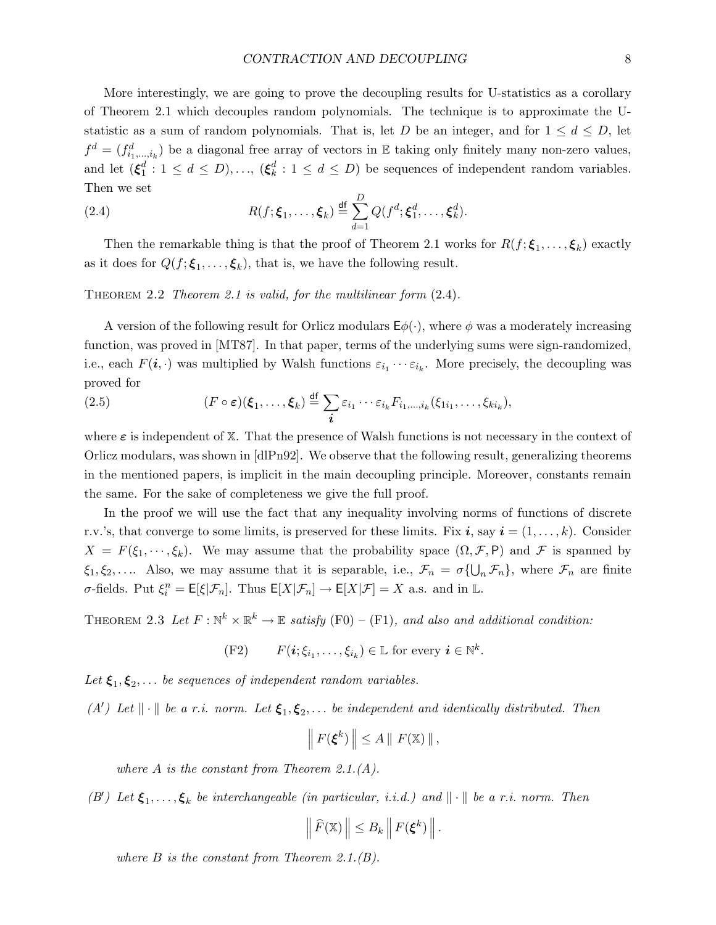More interestingly, we are going to prove the decoupling results for U-statistics as a corollary of Theorem 2.1 which decouples random polynomials. The technique is to approximate the Ustatistic as a sum of random polynomials. That is, let D be an integer, and for  $1 \leq d \leq D$ , let  $f^d = (f^d_{i_1,\dots,i_k})$  be a diagonal free array of vectors in E taking only finitely many non-zero values, and let  $(\xi_1^d : 1 \le d \le D), \ldots, (\xi_k^d : 1 \le d \le D)$  be sequences of independent random variables. Then we set

(2.4) 
$$
R(f; \boldsymbol{\xi}_1, \ldots, \boldsymbol{\xi}_k) \stackrel{\text{df}}{=} \sum_{d=1}^D Q(f^d; \boldsymbol{\xi}_1^d, \ldots, \boldsymbol{\xi}_k^d).
$$

Then the remarkable thing is that the proof of Theorem 2.1 works for  $R(f; \xi_1, \ldots, \xi_k)$  exactly as it does for  $Q(f; \xi_1, \ldots, \xi_k)$ , that is, we have the following result.

THEOREM 2.2 Theorem 2.1 is valid, for the multilinear form  $(2.4)$ .

A version of the following result for Orlicz modulars  $E\phi(\cdot)$ , where  $\phi$  was a moderately increasing function, was proved in [MT87]. In that paper, terms of the underlying sums were sign-randomized, i.e., each  $F(i, \cdot)$  was multiplied by Walsh functions  $\varepsilon_{i_1} \cdots \varepsilon_{i_k}$ . More precisely, the decoupling was proved for

(2.5) 
$$
(F \circ \varepsilon)(\boldsymbol{\xi}_1,\ldots,\boldsymbol{\xi}_k) \stackrel{\text{df}}{=} \sum_{\boldsymbol{i}} \varepsilon_{i_1} \cdots \varepsilon_{i_k} F_{i_1,\ldots,i_k}(\xi_{1i_1},\ldots,\xi_{ki_k}),
$$

where  $\varepsilon$  is independent of X. That the presence of Walsh functions is not necessary in the context of Orlicz modulars, was shown in [dlPn92]. We observe that the following result, generalizing theorems in the mentioned papers, is implicit in the main decoupling principle. Moreover, constants remain the same. For the sake of completeness we give the full proof.

In the proof we will use the fact that any inequality involving norms of functions of discrete r.v.'s, that converge to some limits, is preserved for these limits. Fix i, say  $i = (1, \ldots, k)$ . Consider  $X = F(\xi_1, \dots, \xi_k)$ . We may assume that the probability space  $(\Omega, \mathcal{F}, P)$  and  $\mathcal F$  is spanned by  $\xi_1, \xi_2, \ldots$  Also, we may assume that it is separable, i.e.,  $\mathcal{F}_n = \sigma\{\bigcup_n \mathcal{F}_n\}$ , where  $\mathcal{F}_n$  are finite  $\sigma$ -fields. Put  $\xi_i^n = \mathsf{E}[\xi|\mathcal{F}_n]$ . Thus  $\mathsf{E}[X|\mathcal{F}_n] \to \mathsf{E}[X|\mathcal{F}] = X$  a.s. and in L.

THEOREM 2.3 Let  $F: \mathbb{N}^k \times \mathbb{R}^k \to \mathbb{E}$  satisfy (F0) – (F1), and also and additional condition:

(F2) 
$$
F(\mathbf{i}; \xi_{i_1}, \dots, \xi_{i_k}) \in \mathbb{L}
$$
 for every  $\mathbf{i} \in \mathbb{N}^k$ .

Let  $\xi_1, \xi_2, \ldots$  be sequences of independent random variables.

(A') Let  $\|\cdot\|$  be a r.i. norm. Let  $\xi_1, \xi_2, \ldots$  be independent and identically distributed. Then

$$
\left\| F(\xi^k) \right\| \leq A \left\| F(\mathbb{X}) \right\|,
$$

where  $A$  is the constant from Theorem 2.1. $(A)$ .

(B') Let  $\xi_1,\ldots,\xi_k$  be interchangeable (in particular, i.i.d.) and  $\|\cdot\|$  be a r.i. norm. Then

$$
\left\|\widehat{F}(\mathbb{X})\right\| \leq B_k\left\|F(\boldsymbol{\xi}^k)\right\|.
$$

where  $B$  is the constant from Theorem 2.1. $(B)$ .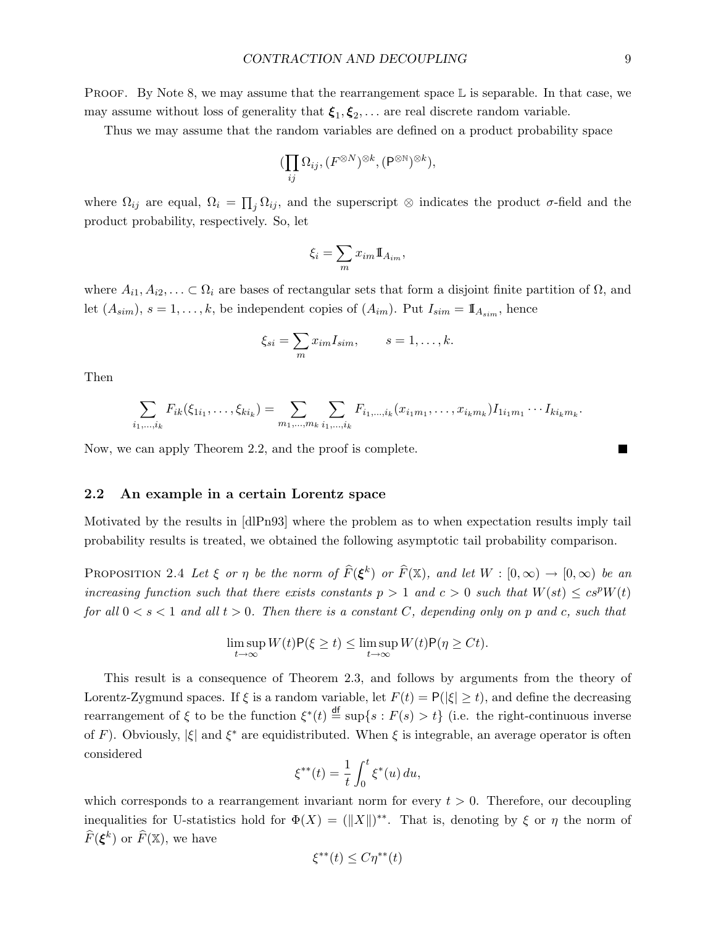**PROOF.** By Note 8, we may assume that the rearrangement space  $\mathbb{L}$  is separable. In that case, we may assume without loss of generality that  $\xi_1, \xi_2, \ldots$  are real discrete random variable.

Thus we may assume that the random variables are defined on a product probability space

$$
(\prod_{ij}\Omega_{ij}, (F^{\otimes N})^{\otimes k}, (\mathsf{P}^{\otimes \mathbb{N}})^{\otimes k}),
$$

where  $\Omega_{ij}$  are equal,  $\Omega_i = \prod_j \Omega_{ij}$ , and the superscript ⊗ indicates the product  $\sigma$ -field and the product probability, respectively. So, let

$$
\xi_i = \sum_m x_{im} \mathbb{I}_{A_{im}},
$$

where  $A_{i1}, A_{i2}, \ldots \subset \Omega_i$  are bases of rectangular sets that form a disjoint finite partition of  $\Omega$ , and let  $(A_{sim})$ ,  $s = 1, \ldots, k$ , be independent copies of  $(A_{im})$ . Put  $I_{sim} = \mathbb{I}_{A_{sim}}$ , hence

$$
\xi_{si} = \sum_m x_{im} I_{sim}, \qquad s = 1, \dots, k.
$$

Then

$$
\sum_{i_1,\dots,i_k} F_{ik}(\xi_{1i_1},\dots,\xi_{ki_k}) = \sum_{m_1,\dots,m_k} \sum_{i_1,\dots,i_k} F_{i_1,\dots,i_k}(x_{i_1m_1},\dots,x_{i_km_k}) I_{1i_1m_1}\cdots I_{ki_km_k}.
$$

Now, we can apply Theorem 2.2, and the proof is complete.

## 2.2 An example in a certain Lorentz space

Motivated by the results in [dlPn93] where the problem as to when expectation results imply tail probability results is treated, we obtained the following asymptotic tail probability comparison.

PROPOSITION 2.4 Let  $\xi$  or  $\eta$  be the norm of  $\widehat{F}(\xi^k)$  or  $\widehat{F}(\mathbb{X})$ , and let  $W : [0, \infty) \to [0, \infty)$  be an increasing function such that there exists constants  $p > 1$  and  $c > 0$  such that  $W(st) \leq c s^p W(t)$ for all  $0 < s < 1$  and all  $t > 0$ . Then there is a constant C, depending only on p and c, such that

$$
\limsup_{t \to \infty} W(t) \mathsf{P}(\xi \ge t) \le \limsup_{t \to \infty} W(t) \mathsf{P}(\eta \ge Ct).
$$

This result is a consequence of Theorem 2.3, and follows by arguments from the theory of Lorentz-Zygmund spaces. If  $\xi$  is a random variable, let  $F(t) = P(|\xi| \ge t)$ , and define the decreasing rearrangement of  $\xi$  to be the function  $\xi^*(t) \stackrel{\text{df}}{=} \sup\{s : F(s) > t\}$  (i.e. the right-continuous inverse of F). Obviously,  $|\xi|$  and  $\xi^*$  are equidistributed. When  $\xi$  is integrable, an average operator is often considered

$$
\xi^{**}(t) = \frac{1}{t} \int_0^t \xi^*(u) \, du,
$$

which corresponds to a rearrangement invariant norm for every  $t > 0$ . Therefore, our decoupling inequalities for U-statistics hold for  $\Phi(X) = (||X||)^{**}$ . That is, denoting by  $\xi$  or  $\eta$  the norm of  $\widehat{F}(\boldsymbol{\xi}^k)$  or  $\widehat{F}(\mathbb{X}),$  we have

$$
\xi^{**}(t) \le C\eta^{**}(t)
$$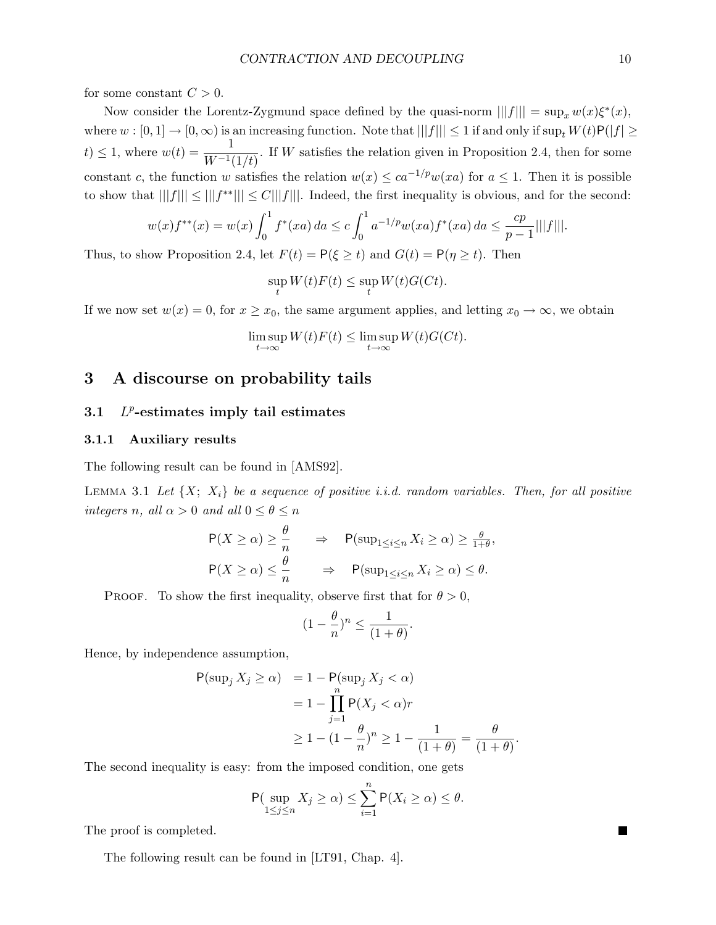for some constant  $C > 0$ .

Now consider the Lorentz-Zygmund space defined by the quasi-norm  $|||f||| = \sup_x w(x) \xi^*(x)$ , where  $w : [0,1] \to [0,\infty)$  is an increasing function. Note that  $|||f||| \leq 1$  if and only if  $\sup_t W(t)P(|f| \geq$ t)  $\leq 1$ , where  $w(t) = \frac{1}{W^{-1}(1/t)}$ . If W satisfies the relation given in Proposition 2.4, then for some constant c, the function w satisfies the relation  $w(x) \leq ca^{-1/p}w(xa)$  for  $a \leq 1$ . Then it is possible to show that  $|||f||| \le |||f^{**}||| \le C|||f|||$ . Indeed, the first inequality is obvious, and for the second:

$$
w(x)f^{**}(x) = w(x)\int_0^1 f^*(xa) \, da \le c \int_0^1 a^{-1/p} w(xa) f^*(xa) \, da \le \frac{cp}{p-1} |||f|||.
$$

Thus, to show Proposition 2.4, let  $F(t) = P(\xi \ge t)$  and  $G(t) = P(\eta \ge t)$ . Then

$$
\sup_{t} W(t)F(t) \le \sup_{t} W(t)G(Ct).
$$

If we now set  $w(x) = 0$ , for  $x \ge x_0$ , the same argument applies, and letting  $x_0 \to \infty$ , we obtain

$$
\limsup_{t \to \infty} W(t)F(t) \le \limsup_{t \to \infty} W(t)G(Ct).
$$

## 3 A discourse on probability tails

#### 3.1 L <sup>*p*</sup>-estimates imply tail estimates

### 3.1.1 Auxiliary results

The following result can be found in [AMS92].

LEMMA 3.1 Let  $\{X; X_i\}$  be a sequence of positive i.i.d. random variables. Then, for all positive integers n, all  $\alpha > 0$  and all  $0 \le \theta \le n$ 

$$
P(X \ge \alpha) \ge \frac{\theta}{n} \qquad \Rightarrow \qquad P(\sup_{1 \le i \le n} X_i \ge \alpha) \ge \frac{\theta}{1+\theta},
$$
  

$$
P(X \ge \alpha) \le \frac{\theta}{n} \qquad \Rightarrow \qquad P(\sup_{1 \le i \le n} X_i \ge \alpha) \le \theta.
$$

PROOF. To show the first inequality, observe first that for  $\theta > 0$ ,

$$
(1 - \frac{\theta}{n})^n \le \frac{1}{(1 + \theta)}.
$$

Hence, by independence assumption,

$$
P(\sup_j X_j \ge \alpha) = 1 - P(\sup_j X_j < \alpha)
$$
\n
$$
= 1 - \prod_{j=1}^n P(X_j < \alpha)r
$$
\n
$$
\ge 1 - (1 - \frac{\theta}{n})^n \ge 1 - \frac{1}{(1 + \theta)} = \frac{\theta}{(1 + \theta)}
$$

.

The second inequality is easy: from the imposed condition, one gets

$$
\mathsf{P}(\sup_{1\leq j\leq n}X_j\geq\alpha)\leq\sum_{i=1}^n\mathsf{P}(X_i\geq\alpha)\leq\theta.
$$

The proof is completed.

The following result can be found in [LT91, Chap. 4].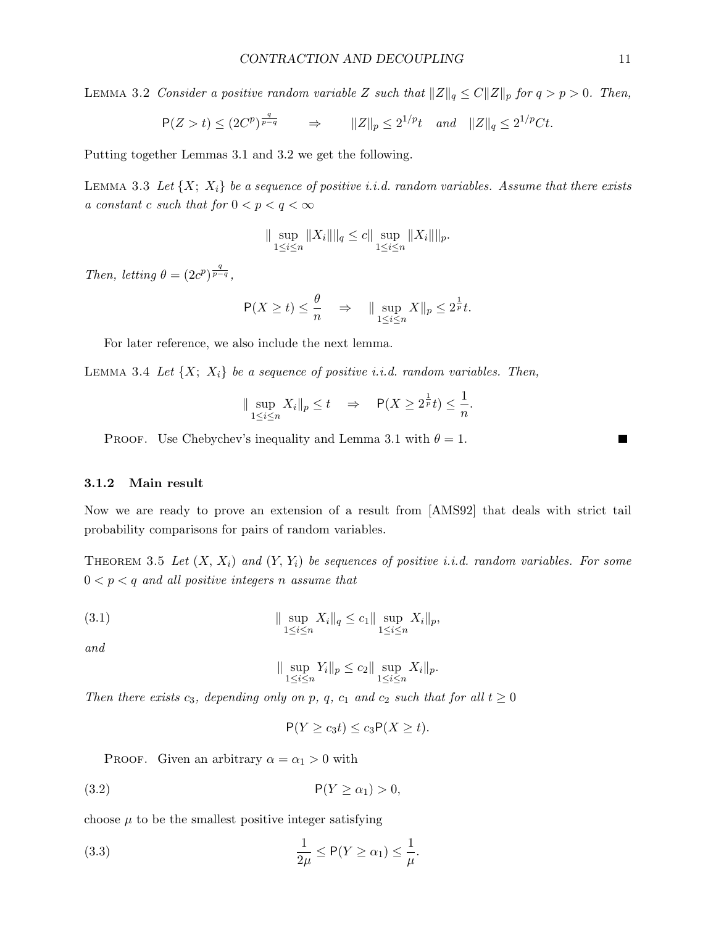LEMMA 3.2 Consider a positive random variable Z such that  $||Z||_q \leq C||Z||_p$  for  $q > p > 0$ . Then,

$$
\mathsf{P}(Z>t) \leq (2C^p)^{\frac{q}{p-q}} \qquad \Rightarrow \qquad \|Z\|_p \leq 2^{1/p} t \quad \text{and} \quad \|Z\|_q \leq 2^{1/p} Ct.
$$

Putting together Lemmas 3.1 and 3.2 we get the following.

LEMMA 3.3 Let  $\{X; X_i\}$  be a sequence of positive i.i.d. random variables. Assume that there exists a constant c such that for  $0 < p < q < \infty$ 

$$
\|\sup_{1\leq i\leq n} \|X_i\|\|_q \leq c \|\sup_{1\leq i\leq n} \|X_i\|\|_p.
$$

Then, letting  $\theta = (2c^p)^{\frac{q}{p-q}}$ ,

$$
\mathsf{P}(X \ge t) \le \frac{\theta}{n} \quad \Rightarrow \quad \|\sup_{1 \le i \le n} X\|_p \le 2^{\frac{1}{p}} t.
$$

For later reference, we also include the next lemma.

LEMMA 3.4 Let  $\{X; X_i\}$  be a sequence of positive i.i.d. random variables. Then,

$$
\|\sup_{1\leq i\leq n} X_i\|_p \leq t \quad \Rightarrow \quad \mathsf{P}(X \geq 2^{\frac{1}{p}}t) \leq \frac{1}{n}.
$$

PROOF. Use Chebychev's inequality and Lemma 3.1 with  $\theta = 1$ .

### 3.1.2 Main result

Now we are ready to prove an extension of a result from [AMS92] that deals with strict tail probability comparisons for pairs of random variables.

THEOREM 3.5 Let  $(X, X_i)$  and  $(Y, Y_i)$  be sequences of positive i.i.d. random variables. For some  $0 < p < q$  and all positive integers n assume that

(3.1) 
$$
\|\sup_{1\leq i\leq n} X_i\|_q \leq c_1 \|\sup_{1\leq i\leq n} X_i\|_p,
$$

and

$$
\|\sup_{1\leq i\leq n} Y_i\|_p \leq c_2 \|\sup_{1\leq i\leq n} X_i\|_p.
$$

Then there exists  $c_3$ , depending only on p, q,  $c_1$  and  $c_2$  such that for all  $t \geq 0$ 

$$
\mathsf{P}(Y \ge c_3 t) \le c_3 \mathsf{P}(X \ge t).
$$

PROOF. Given an arbitrary  $\alpha = \alpha_1 > 0$  with

$$
P(Y \ge \alpha_1) > 0,
$$

choose  $\mu$  to be the smallest positive integer satisfying

(3.3) 
$$
\frac{1}{2\mu} \le P(Y \ge \alpha_1) \le \frac{1}{\mu}.
$$

ш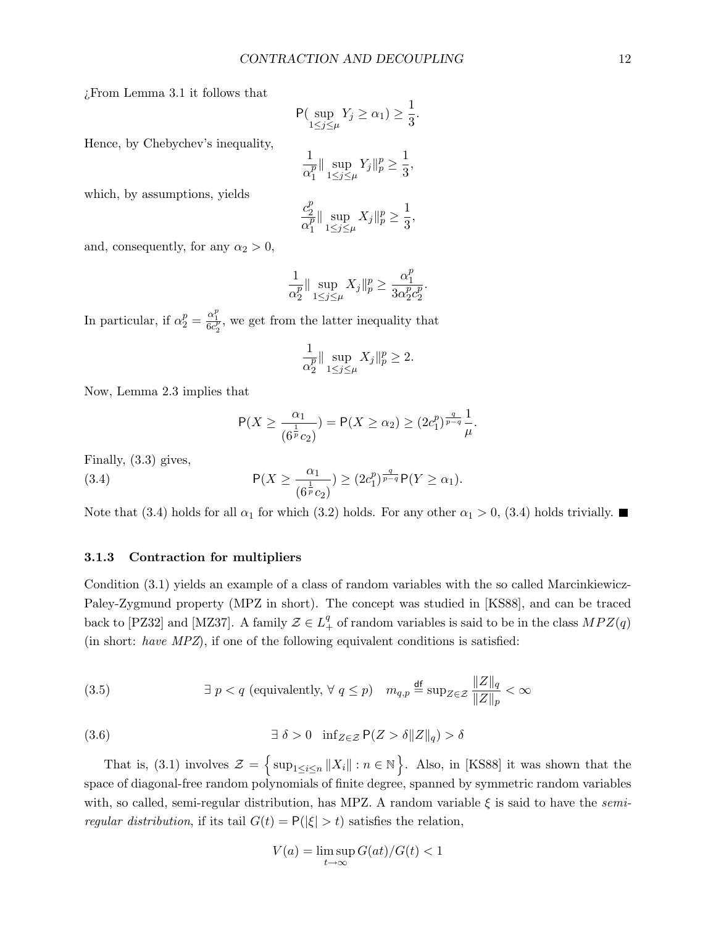¿From Lemma 3.1 it follows that

$$
\mathsf{P}(\sup_{1\leq j\leq\mu}Y_j\geq\alpha_1)\geq\frac{1}{3}.
$$

Hence, by Chebychev's inequality,

$$
\frac{1}{\alpha_1^p} \|\sup_{1\leq j\leq \mu} Y_j\|_p^p \geq \frac{1}{3},
$$

which, by assumptions, yields

$$
\frac{c_2^p}{\alpha_1^p} \|\sup_{1 \le j \le \mu} X_j\|_p^p \ge \frac{1}{3},
$$

and, consequently, for any  $\alpha_2 > 0$ ,

$$
\frac{1}{\alpha_2^p} \|\sup_{1\leq j\leq \mu} X_j\|_p^p \geq \frac{\alpha_1^p}{3\alpha_2^p c_2^p}.
$$

In particular, if  $\alpha_2^p = \frac{\alpha_1^p}{6c_2^p}$ , we get from the latter inequality that

$$
\frac{1}{\alpha_2^p} \|\sup_{1\leq j\leq \mu} X_j\|_p^p \geq 2.
$$

Now, Lemma 2.3 implies that

$$
\mathsf{P}(X \ge \frac{\alpha_1}{(6^{\frac{1}{p}}c_2)}) = \mathsf{P}(X \ge \alpha_2) \ge (2c_1^p)^{\frac{q}{p-q}} \frac{1}{\mu}.
$$

Finally, (3.3) gives,

(3.4) 
$$
\mathsf{P}(X \geq \frac{\alpha_1}{(6^{\frac{1}{p}}c_2)}) \geq (2c_1^p)^{\frac{q}{p-q}} \mathsf{P}(Y \geq \alpha_1).
$$

Note that (3.4) holds for all  $\alpha_1$  for which (3.2) holds. For any other  $\alpha_1 > 0$ , (3.4) holds trivially.

### 3.1.3 Contraction for multipliers

Condition (3.1) yields an example of a class of random variables with the so called Marcinkiewicz-Paley-Zygmund property (MPZ in short). The concept was studied in [KS88], and can be traced back to [PZ32] and [MZ37]. A family  $\mathcal{Z} \in L_+^q$  of random variables is said to be in the class  $MPZ(q)$ (in short: have MPZ), if one of the following equivalent conditions is satisfied:

(3.5) 
$$
\exists p < q \text{ (equivalently, } \forall q \leq p \text{)} \quad m_{q,p} \stackrel{\text{df}}{=} \sup_{Z \in \mathcal{Z}} \frac{\|Z\|_q}{\|Z\|_p} < \infty
$$

(3.6) 
$$
\exists \delta > 0 \quad \inf_{Z \in \mathcal{Z}} P(Z > \delta ||Z||_q) > \delta
$$

That is, (3.1) involves  $\mathcal{Z} = \{ \sup_{1 \leq i \leq n} ||X_i|| : n \in \mathbb{N} \}$ . Also, in [KS88] it was shown that the space of diagonal-free random polynomials of finite degree, spanned by symmetric random variables with, so called, semi-regular distribution, has MPZ. A random variable  $\xi$  is said to have the semiregular distribution, if its tail  $G(t) = P(|\xi| > t)$  satisfies the relation,

$$
V(a) = \limsup_{t \to \infty} G(at)/G(t) < 1
$$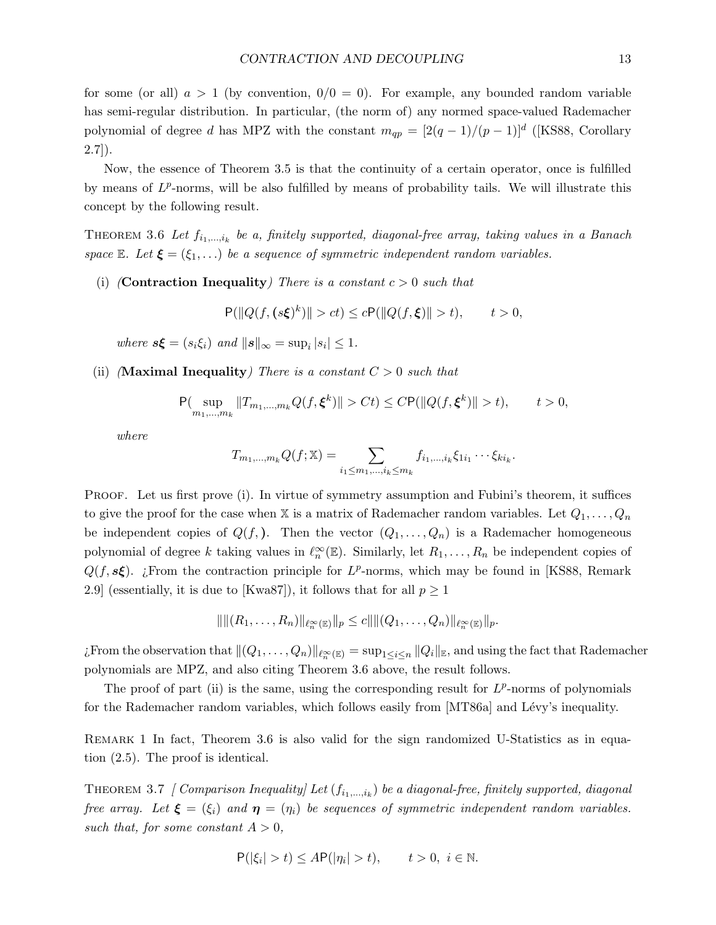for some (or all)  $a > 1$  (by convention,  $0/0 = 0$ ). For example, any bounded random variable has semi-regular distribution. In particular, (the norm of) any normed space-valued Rademacher polynomial of degree d has MPZ with the constant  $m_{qp} = [2(q-1)/(p-1)]^d$  ([KS88, Corollary  $2.7$ ]).

Now, the essence of Theorem 3.5 is that the continuity of a certain operator, once is fulfilled by means of  $L^p$ -norms, will be also fulfilled by means of probability tails. We will illustrate this concept by the following result.

THEOREM 3.6 Let  $f_{i_1,\dots,i_k}$  be a, finitely supported, diagonal-free array, taking values in a Banach space E. Let  $\xi = (\xi_1, \ldots)$  be a sequence of symmetric independent random variables.

(i) (**Contraction Inequality**) There is a constant  $c > 0$  such that

$$
\mathsf{P}(\|Q(f, (s\xi)^k)\| > ct) \le c \mathsf{P}(\|Q(f, \xi)\| > t), \qquad t > 0,
$$

where  $s\xi = (s_i\xi_i)$  and  $||s||_{\infty} = \sup_i |s_i| \leq 1$ .

(ii) (Maximal Inequality) There is a constant  $C > 0$  such that

$$
\mathsf{P}(\sup_{m_1,\ldots,m_k} \|T_{m_1,\ldots,m_k}Q(f,\xi^k)\| > Ct) \le C \mathsf{P}(\|Q(f,\xi^k)\| > t), \qquad t > 0,
$$

where

$$
T_{m_1,...,m_k}Q(f; \mathbb{X}) = \sum_{i_1 \leq m_1,...,i_k \leq m_k} f_{i_1,...,i_k} \xi_{1i_1} \cdots \xi_{ki_k}.
$$

PROOF. Let us first prove (i). In virtue of symmetry assumption and Fubini's theorem, it suffices to give the proof for the case when X is a matrix of Rademacher random variables. Let  $Q_1, \ldots, Q_n$ be independent copies of  $Q(f)$ . Then the vector  $(Q_1, \ldots, Q_n)$  is a Rademacher homogeneous polynomial of degree k taking values in  $\ell_n^{\infty}(\mathbb{E})$ . Similarly, let  $R_1, \ldots, R_n$  be independent copies of  $Q(f, s\xi)$ . ¿From the contraction principle for  $L^p$ -norms, which may be found in [KS88, Remark 2.9] (essentially, it is due to [Kwa87]), it follows that for all  $p \ge 1$ 

$$
\| \| (R_1, \ldots, R_n) \|_{\ell^\infty_n(\mathbb{E})} \|_p \le c \| \| (Q_1, \ldots, Q_n) \|_{\ell^\infty_n(\mathbb{E})} \|_p.
$$

¿From the observation that  $\|(Q_1, \ldots, Q_n)\|_{\ell^\infty_n(\mathbb{E})} = \sup_{1 \leq i \leq n} \|Q_i\|_{\mathbb{E}}$ , and using the fact that Rademacher polynomials are MPZ, and also citing Theorem 3.6 above, the result follows.

The proof of part (ii) is the same, using the corresponding result for  $L^p$ -norms of polynomials for the Rademacher random variables, which follows easily from [MT86a] and Lévy's inequality.

REMARK 1 In fact, Theorem 3.6 is also valid for the sign randomized U-Statistics as in equation (2.5). The proof is identical.

THEOREM 3.7 [Comparison Inequality] Let  $(f_{i_1,...,i_k})$  be a diagonal-free, finitely supported, diagonal free array. Let  $\xi = (\xi_i)$  and  $\eta = (\eta_i)$  be sequences of symmetric independent random variables. such that, for some constant  $A > 0$ ,

$$
\mathsf{P}(|\xi_i| > t) \le A \mathsf{P}(|\eta_i| > t), \qquad t > 0, \ i \in \mathbb{N}.
$$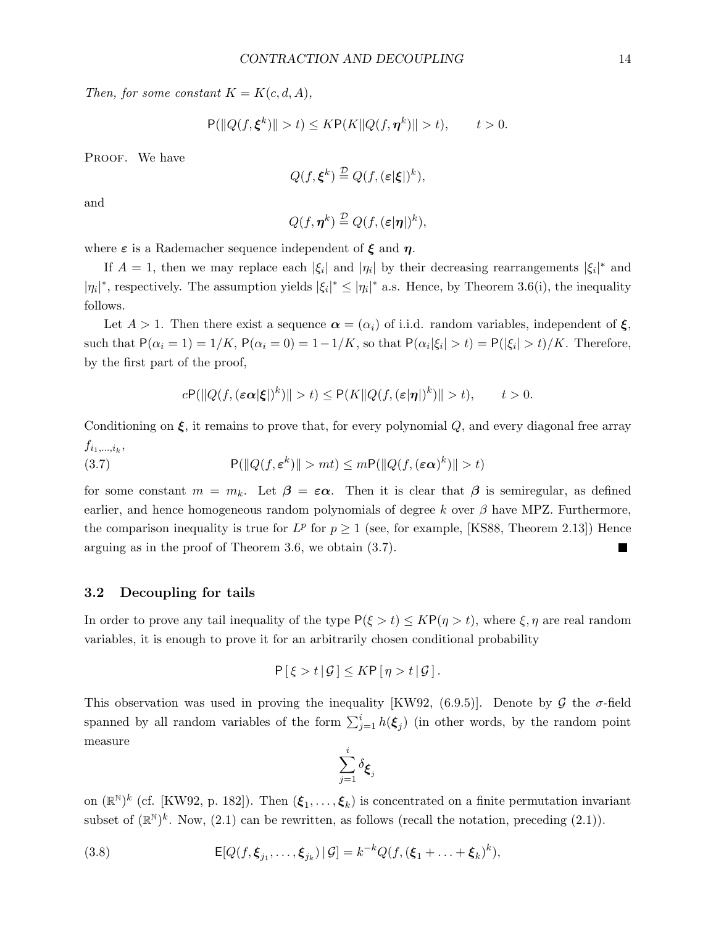Then, for some constant  $K = K(c, d, A)$ ,

$$
\mathsf{P}(\|Q(f, \xi^k)\| > t) \leq K \mathsf{P}(K \|Q(f, \eta^k)\| > t), \qquad t > 0.
$$

PROOF. We have

$$
Q(f, \xi^k) \stackrel{\mathcal{D}}{=} Q(f, (\varepsilon|\xi|)^k),
$$

and

$$
Q(f, \eta^k) \stackrel{\mathcal{D}}{=} Q(f, (\varepsilon|\eta|)^k),
$$

where  $\varepsilon$  is a Rademacher sequence independent of  $\xi$  and  $\eta$ .

If  $A = 1$ , then we may replace each  $|\xi_i|$  and  $|\eta_i|$  by their decreasing rearrangements  $|\xi_i|^*$  and  $|\eta_i|^*$ , respectively. The assumption yields  $|\xi_i|^* \leq |\eta_i|^*$  a.s. Hence, by Theorem 3.6(i), the inequality follows.

Let  $A > 1$ . Then there exist a sequence  $\alpha = (\alpha_i)$  of i.i.d. random variables, independent of  $\xi$ , such that  $P(\alpha_i = 1) = 1/K$ ,  $P(\alpha_i = 0) = 1 - 1/K$ , so that  $P(\alpha_i | \xi_i) > t$  =  $P(|\xi_i| > t)/K$ . Therefore, by the first part of the proof,

$$
c\mathsf{P}(\|Q(f,(\varepsilon\alpha|\xi))^k)\| > t) \leq \mathsf{P}(K\|Q(f,(\varepsilon|\eta))^k)\| > t), \qquad t > 0.
$$

Conditioning on  $\xi$ , it remains to prove that, for every polynomial  $Q$ , and every diagonal free array  $f_{i_1,...,i_k},$ 

(3.7) 
$$
\mathsf{P}(\|Q(f,\varepsilon^k)\| > mt) \le m\mathsf{P}(\|Q(f,(\varepsilon\alpha)^k)\| > t)
$$

for some constant  $m = m_k$ . Let  $\beta = \varepsilon \alpha$ . Then it is clear that  $\beta$  is semiregular, as defined earlier, and hence homogeneous random polynomials of degree k over  $\beta$  have MPZ. Furthermore, the comparison inequality is true for  $L^p$  for  $p \ge 1$  (see, for example, [KS88, Theorem 2.13]) Hence arguing as in the proof of Theorem 3.6, we obtain (3.7).

### 3.2 Decoupling for tails

In order to prove any tail inequality of the type  $P(\xi > t) \leq K P(\eta > t)$ , where  $\xi, \eta$  are real random variables, it is enough to prove it for an arbitrarily chosen conditional probability

$$
P[\xi > t | \mathcal{G}] \leq K P[\eta > t | \mathcal{G}].
$$

This observation was used in proving the inequality [KW92, (6.9.5)]. Denote by G the  $\sigma$ -field spanned by all random variables of the form  $\sum_{j=1}^{i} h(\xi_j)$  (in other words, by the random point measure

$$
\sum_{j=1}^i \delta_{\pmb{\xi}_j}
$$

on  $(\mathbb{R}^N)^k$  (cf. [KW92, p. 182]). Then  $(\xi_1,\ldots,\xi_k)$  is concentrated on a finite permutation invariant subset of  $(\mathbb{R}^N)^k$ . Now, (2.1) can be rewritten, as follows (recall the notation, preceding (2.1)).

(3.8) 
$$
\mathsf{E}[Q(f, \xi_{j_1}, \ldots, \xi_{j_k}) | \mathcal{G}] = k^{-k} Q(f, (\xi_1 + \ldots + \xi_k)^k),
$$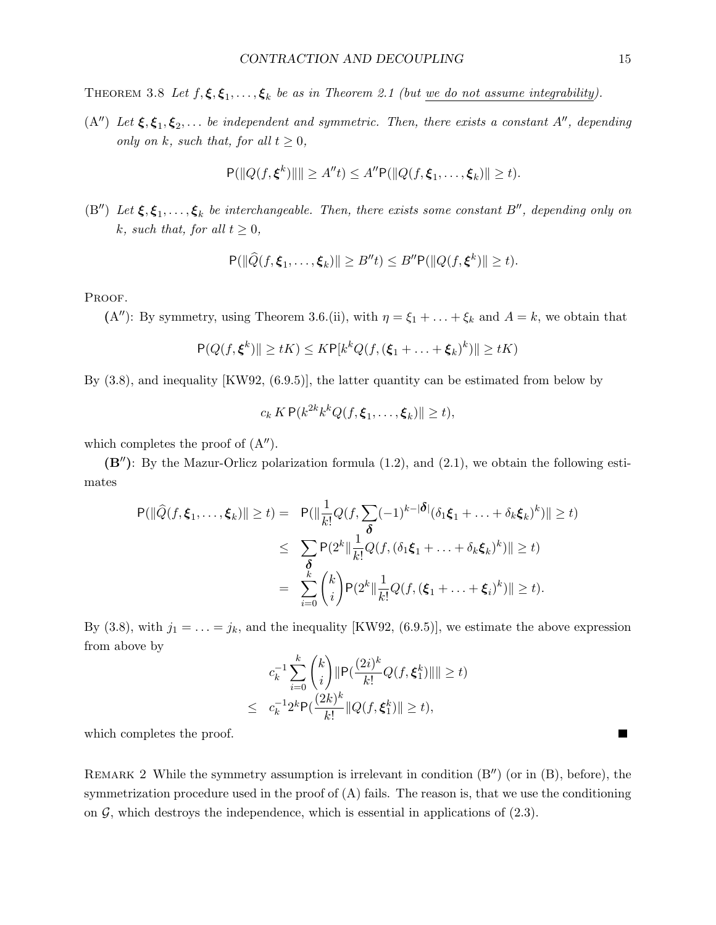THEOREM 3.8 Let  $f, \xi, \xi_1, \ldots, \xi_k$  be as in Theorem 2.1 (but we do not assume integrability).

(A") Let  $\xi, \xi_1, \xi_2, \ldots$  be independent and symmetric. Then, there exists a constant A", depending only on k, such that, for all  $t \geq 0$ ,

$$
P(||Q(f, \xi^k)||) \ge A''t) \le A''P(||Q(f, \xi_1, ..., \xi_k)|| \ge t).
$$

(B'') Let  $\xi, \xi_1, \ldots, \xi_k$  be interchangeable. Then, there exists some constant B'', depending only on k, such that, for all  $t \geq 0$ ,

$$
\mathsf{P}(\|\widehat{Q}(f,\xi_1,\ldots,\xi_k)\| \geq B''t) \leq B''\mathsf{P}(\|Q(f,\xi^k)\| \geq t).
$$

PROOF.

(A''): By symmetry, using Theorem 3.6.(ii), with  $\eta = \xi_1 + \ldots + \xi_k$  and  $A = k$ , we obtain that

$$
P(Q(f, \xi^k) \| \ge tK) \le K P[k^k Q(f, (\xi_1 + \dots + \xi_k)^k)] \ge tK)
$$

By (3.8), and inequality [KW92, (6.9.5)], the latter quantity can be estimated from below by

$$
c_k K \mathsf{P}(k^{2k} k^k Q(f, \boldsymbol{\xi}_1, \dots, \boldsymbol{\xi}_k) \| \geq t),
$$

which completes the proof of  $(A'')$ .

 $(B'')$ : By the Mazur-Orlicz polarization formula  $(1.2)$ , and  $(2.1)$ , we obtain the following estimates

$$
\begin{aligned} \mathsf{P}(\|\widehat{Q}(f,\xi_1,\ldots,\xi_k)\| \geq t) &= \mathsf{P}(\|\frac{1}{k!}Q(f,\sum_{i=1}^k(-1)^{k-|\delta|}(\delta_1\xi_1+\ldots+\delta_k\xi_k)^k)\| \geq t) \\ &\leq \sum_{\delta} \mathsf{P}(2^k\|\frac{1}{k!}Q(f,(\delta_1\xi_1+\ldots+\delta_k\xi_k)^k)\| \geq t) \\ &= \sum_{i=0}^k \binom{k}{i} \mathsf{P}(2^k\|\frac{1}{k!}Q(f,(\xi_1+\ldots+\xi_i)^k)\| \geq t). \end{aligned}
$$

By (3.8), with  $j_1 = \ldots = j_k$ , and the inequality [KW92, (6.9.5)], we estimate the above expression from above by

$$
c_k^{-1} \sum_{i=0}^k {k \choose i} \|\mathbf{P}(\frac{(2i)^k}{k!} Q(f, \xi_1^k) \| \le t)
$$
  

$$
\le c_k^{-1} 2^k \mathbf{P}(\frac{(2k)^k}{k!} \| Q(f, \xi_1^k) \| \ge t),
$$

which completes the proof.

REMARK 2 While the symmetry assumption is irrelevant in condition  $(B'')$  (or in  $(B)$ , before), the symmetrization procedure used in the proof of  $(A)$  fails. The reason is, that we use the conditioning on  $\mathcal{G}$ , which destroys the independence, which is essential in applications of  $(2.3)$ .

 $\blacksquare$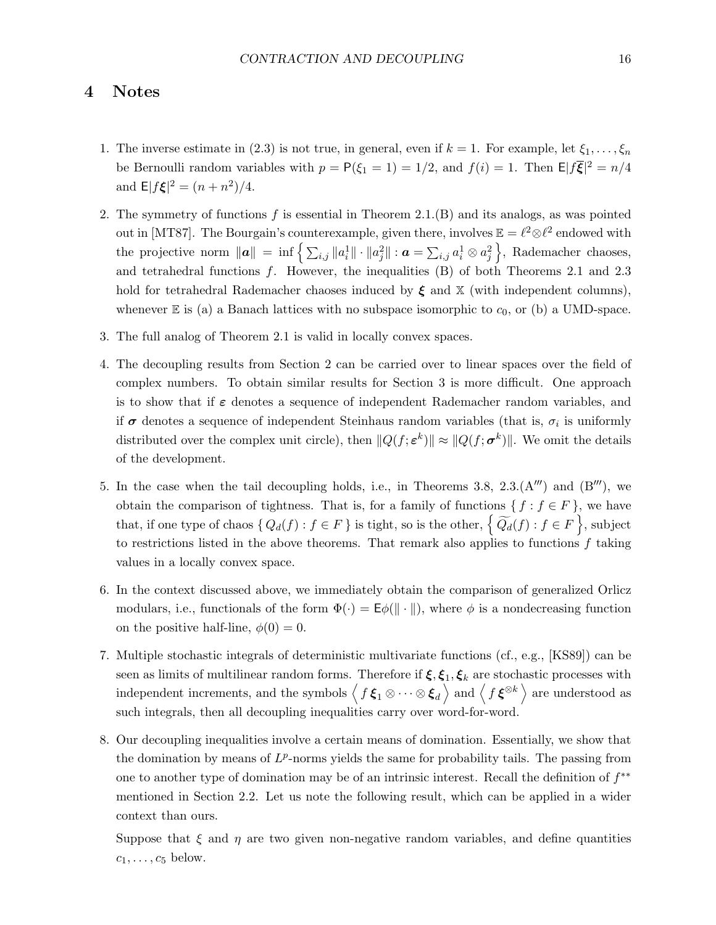## 4 Notes

- 1. The inverse estimate in (2.3) is not true, in general, even if  $k = 1$ . For example, let  $\xi_1, \ldots, \xi_n$ be Bernoulli random variables with  $p = P(\xi_1 = 1) = 1/2$ , and  $f(i) = 1$ . Then  $\mathbb{E}|\mathcal{f}\overline{\xi}|^2 = n/4$ and  $E|f\xi|^2 = (n+n^2)/4$ .
- 2. The symmetry of functions f is essential in Theorem 2.1.(B) and its analogs, as was pointed out in [MT87]. The Bourgain's counterexample, given there, involves  $\mathbb{E} = \ell^2 \otimes \ell^2$  endowed with the projective norm  $\|\boldsymbol{a}\| = \inf \left\{ \sum_{i,j} \|a_i^1\| \cdot \|a_j^2\| : \boldsymbol{a} = \sum_{i,j} a_i^1 \otimes a_j^2 \right\}$ , Rademacher chaoses, and tetrahedral functions f. However, the inequalities (B) of both Theorems 2.1 and 2.3 hold for tetrahedral Rademacher chaoses induced by  $\xi$  and  $X$  (with independent columns), whenever  $E$  is (a) a Banach lattices with no subspace isomorphic to  $c_0$ , or (b) a UMD-space.
- 3. The full analog of Theorem 2.1 is valid in locally convex spaces.
- 4. The decoupling results from Section 2 can be carried over to linear spaces over the field of complex numbers. To obtain similar results for Section 3 is more difficult. One approach is to show that if  $\varepsilon$  denotes a sequence of independent Rademacher random variables, and if  $\sigma$  denotes a sequence of independent Steinhaus random variables (that is,  $\sigma_i$  is uniformly distributed over the complex unit circle), then  $||Q(f; \varepsilon^k)|| \approx ||Q(f; \sigma^k)||$ . We omit the details of the development.
- 5. In the case when the tail decoupling holds, i.e., in Theorems 3.8,  $2.3($ A $^{\prime\prime\prime}$ ) and (B $^{\prime\prime\prime}$ ), we obtain the comparison of tightness. That is, for a family of functions  $\{f : f \in F\}$ , we have that, if one type of chaos  $\{Q_d(f) : f \in F\}$  is tight, so is the other,  $\left\{\widetilde{Q_d}(f) : f \in F\right\}$ , subject to restrictions listed in the above theorems. That remark also applies to functions  $f$  taking values in a locally convex space.
- 6. In the context discussed above, we immediately obtain the comparison of generalized Orlicz modulars, i.e., functionals of the form  $\Phi(\cdot) = \mathsf{E}\phi(\|\cdot\|)$ , where  $\phi$  is a nondecreasing function on the positive half-line,  $\phi(0) = 0$ .
- 7. Multiple stochastic integrals of deterministic multivariate functions (cf., e.g., [KS89]) can be seen as limits of multilinear random forms. Therefore if  $\xi, \xi_1, \xi_k$  are stochastic processes with independent increments, and the symbols  $\left\langle f\bm{\xi}_1\otimes\cdots\otimes\bm{\xi}_d\right\rangle$  and  $\left\langle f\bm{\xi}^{\otimes k}\right\rangle$  are understood as such integrals, then all decoupling inequalities carry over word-for-word.
- 8. Our decoupling inequalities involve a certain means of domination. Essentially, we show that the domination by means of  $L^p$ -norms yields the same for probability tails. The passing from one to another type of domination may be of an intrinsic interest. Recall the definition of  $f^{**}$ mentioned in Section 2.2. Let us note the following result, which can be applied in a wider context than ours.

Suppose that  $\xi$  and  $\eta$  are two given non-negative random variables, and define quantities  $c_1, \ldots, c_5$  below.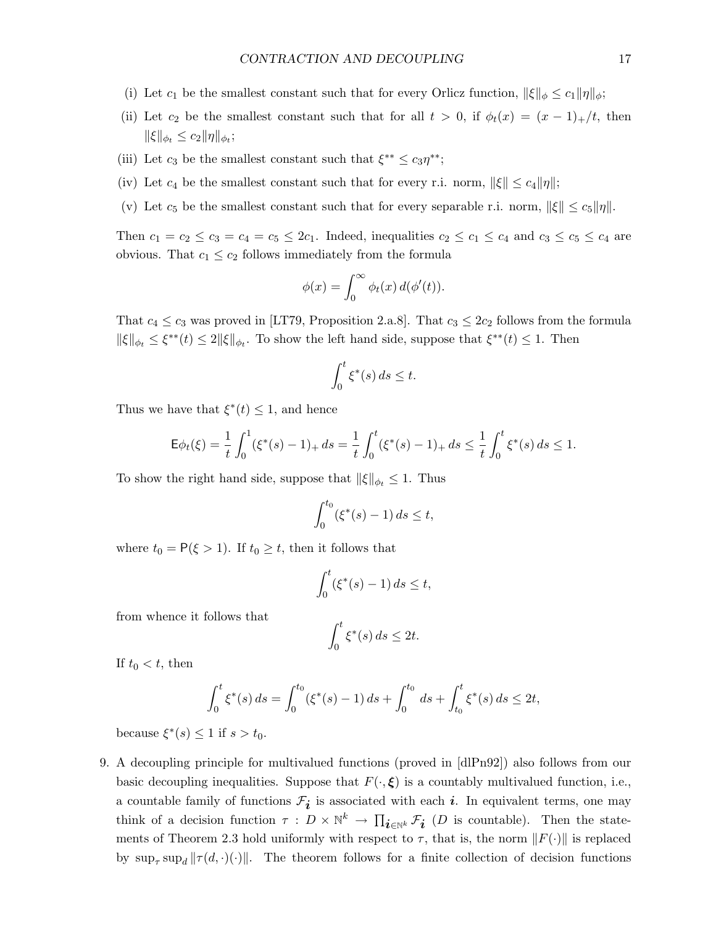- (i) Let  $c_1$  be the smallest constant such that for every Orlicz function,  $\|\xi\|_{\phi} \le c_1 \|\eta\|_{\phi}$ ;
- (ii) Let  $c_2$  be the smallest constant such that for all  $t > 0$ , if  $\phi_t(x) = (x 1)_+/t$ , then  $\|\xi\|_{\phi_t} \leq c_2 \|\eta\|_{\phi_t};$
- (iii) Let  $c_3$  be the smallest constant such that  $\xi^{**} \le c_3 \eta^{**}$ ;
- (iv) Let  $c_4$  be the smallest constant such that for every r.i. norm,  $||\xi|| \le c_4 ||\eta||$ ;
- (v) Let  $c_5$  be the smallest constant such that for every separable r.i. norm,  $\|\xi\| \le c_5\|\eta\|$ .

Then  $c_1 = c_2 \le c_3 = c_4 = c_5 \le 2c_1$ . Indeed, inequalities  $c_2 \le c_1 \le c_4$  and  $c_3 \le c_5 \le c_4$  are obvious. That  $c_1 \leq c_2$  follows immediately from the formula

$$
\phi(x) = \int_0^\infty \phi_t(x) \, d(\phi'(t)).
$$

That  $c_4 \leq c_3$  was proved in [LT79, Proposition 2.a.8]. That  $c_3 \leq 2c_2$  follows from the formula  $\|\xi\|_{\phi_t} \leq \xi^{**}(t) \leq 2 \|\xi\|_{\phi_t}$ . To show the left hand side, suppose that  $\xi^{**}(t) \leq 1$ . Then

$$
\int_0^t \xi^*(s) \, ds \le t.
$$

Thus we have that  $\xi^*(t) \leq 1$ , and hence

$$
\mathsf{E}\phi_t(\xi) = \frac{1}{t} \int_0^1 (\xi^*(s) - 1)_+ ds = \frac{1}{t} \int_0^t (\xi^*(s) - 1)_+ ds \le \frac{1}{t} \int_0^t \xi^*(s) ds \le 1.
$$

To show the right hand side, suppose that  $\|\xi\|_{\phi_t} \leq 1$ . Thus

$$
\int_0^{t_0} (\xi^*(s) - 1) \, ds \le t,
$$

where  $t_0 = P(\xi > 1)$ . If  $t_0 \geq t$ , then it follows that

$$
\int_0^t (\xi^*(s) - 1) ds \le t,
$$

from whence it follows that

$$
\int_0^t \xi^*(s) \, ds \le 2t.
$$

If  $t_0 < t$ , then

$$
\int_0^t \xi^*(s) ds = \int_0^{t_0} (\xi^*(s) - 1) ds + \int_0^{t_0} ds + \int_{t_0}^t \xi^*(s) ds \le 2t,
$$

because  $\xi^*(s) \leq 1$  if  $s > t_0$ .

9. A decoupling principle for multivalued functions (proved in [dlPn92]) also follows from our basic decoupling inequalities. Suppose that  $F(\cdot,\xi)$  is a countably multivalued function, i.e., a countable family of functions  $\mathcal{F}_{i}$  is associated with each  $i$ . In equivalent terms, one may think of a decision function  $\tau : D \times \mathbb{N}^k \to \prod_{i \in \mathbb{N}^k} \mathcal{F}_i$  (*D* is countable). Then the statements of Theorem 2.3 hold uniformly with respect to  $\tau$ , that is, the norm  $||F(\cdot)||$  is replaced by  $\sup_{\tau} \sup_{d} ||\tau(d, \cdot)(\cdot)||$ . The theorem follows for a finite collection of decision functions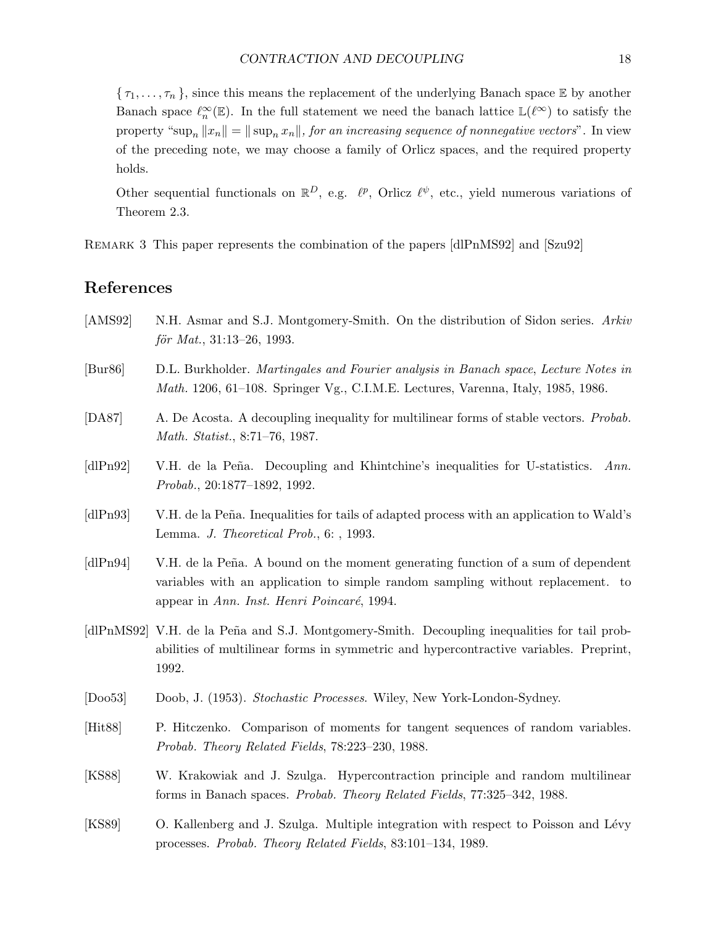$\{\tau_1,\ldots,\tau_n\}$ , since this means the replacement of the underlying Banach space E by another Banach space  $\ell_n^{\infty}(\mathbb{E})$ . In the full statement we need the banach lattice  $\mathbb{L}(\ell^{\infty})$  to satisfy the property "sup<sub>n</sub>  $||x_n|| = ||\sup_n x_n||$ , for an increasing sequence of nonnegative vectors". In view of the preceding note, we may choose a family of Orlicz spaces, and the required property holds.

Other sequential functionals on  $\mathbb{R}^D$ , e.g.  $\ell^p$ , Orlicz  $\ell^{\psi}$ , etc., yield numerous variations of Theorem 2.3.

Remark 3 This paper represents the combination of the papers [dlPnMS92] and [Szu92]

## References

- [AMS92] N.H. Asmar and S.J. Montgomery-Smith. On the distribution of Sidon series. Arkiv  $f\ddot{o}r Mat., 31:13-26, 1993.$
- [Bur86] D.L. Burkholder. Martingales and Fourier analysis in Banach space, Lecture Notes in Math. 1206, 61–108. Springer Vg., C.I.M.E. Lectures, Varenna, Italy, 1985, 1986.
- [DA87] A. De Acosta. A decoupling inequality for multilinear forms of stable vectors. *Probab.* Math. Statist., 8:71–76, 1987.
- [dlPn92] V.H. de la Peña. Decoupling and Khintchine's inequalities for U-statistics. Ann. Probab., 20:1877–1892, 1992.
- [dlPn93] V.H. de la Peña. Inequalities for tails of adapted process with an application to Wald's Lemma. J. Theoretical Prob., 6: , 1993.
- [dlPn94] V.H. de la Peña. A bound on the moment generating function of a sum of dependent variables with an application to simple random sampling without replacement. to appear in Ann. Inst. Henri Poincaré, 1994.
- [dlPnMS92] V.H. de la Peña and S.J. Montgomery-Smith. Decoupling inequalities for tail probabilities of multilinear forms in symmetric and hypercontractive variables. Preprint, 1992.
- [Doo53] Doob, J. (1953). Stochastic Processes. Wiley, New York-London-Sydney.
- [Hit88] P. Hitczenko. Comparison of moments for tangent sequences of random variables. Probab. Theory Related Fields, 78:223–230, 1988.
- [KS88] W. Krakowiak and J. Szulga. Hypercontraction principle and random multilinear forms in Banach spaces. Probab. Theory Related Fields, 77:325–342, 1988.
- [KS89] O. Kallenberg and J. Szulga. Multiple integration with respect to Poisson and Lévy processes. Probab. Theory Related Fields, 83:101–134, 1989.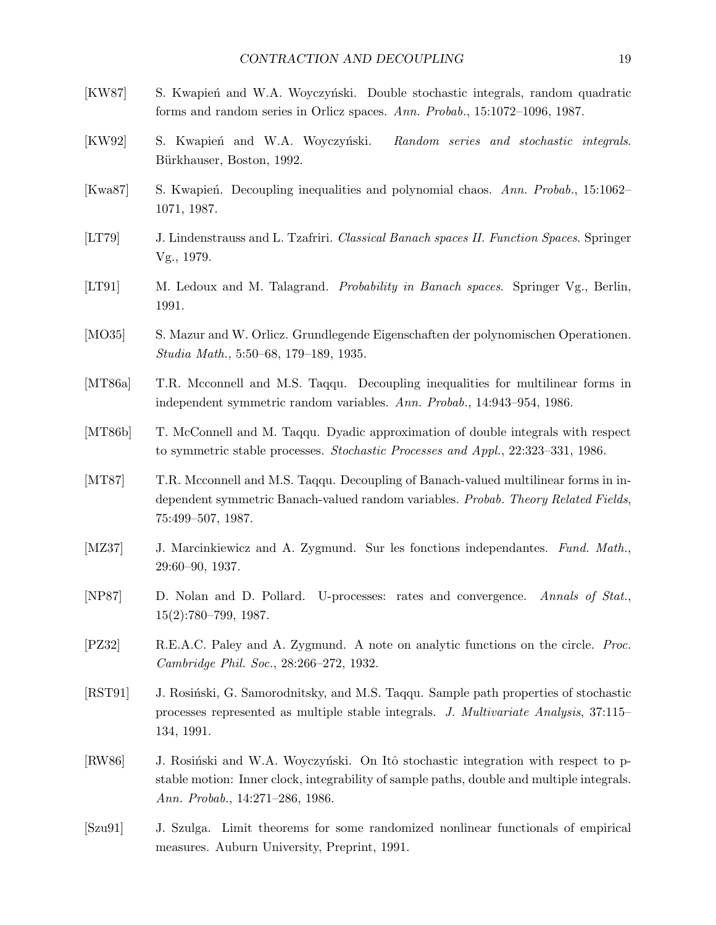| [KW87]       | S. Kwapień and W.A. Woyczyński. Double stochastic integrals, random quadratic<br>forms and random series in Orlicz spaces. Ann. Probab., 15:1072-1096, 1987.                                                      |
|--------------|-------------------------------------------------------------------------------------------------------------------------------------------------------------------------------------------------------------------|
| [KW92]       | S. Kwapień and W.A. Woyczyński.<br>Random series and stochastic integrals.<br>Bürkhauser, Boston, 1992.                                                                                                           |
| [Kwa87]      | S. Kwapień. Decoupling inequalities and polynomial chaos. Ann. Probab., 15:1062–<br>1071, 1987.                                                                                                                   |
| [LT79]       | J. Lindenstrauss and L. Tzafriri. Classical Banach spaces II. Function Spaces. Springer<br>Vg., 1979.                                                                                                             |
| [LT91]       | M. Ledoux and M. Talagrand. <i>Probability in Banach spaces</i> . Springer Vg., Berlin,<br>1991.                                                                                                                  |
| [ $MO35$ ]   | S. Mazur and W. Orlicz. Grundlegende Eigenschaften der polynomischen Operationen.<br>Studia Math., 5:50–68, 179–189, 1935.                                                                                        |
| [MT86a]      | T.R. Mcconnell and M.S. Taqqu. Decoupling inequalities for multilinear forms in<br>independent symmetric random variables. Ann. Probab., 14:943-954, 1986.                                                        |
| [MT86b]      | T. McConnell and M. Taqqu. Dyadic approximation of double integrals with respect<br>to symmetric stable processes. <i>Stochastic Processes and Appl.</i> , 22:323–331, 1986.                                      |
| [MT87]       | T.R. Mcconnell and M.S. Taqqu. Decoupling of Banach-valued multilinear forms in in-<br>dependent symmetric Banach-valued random variables. Probab. Theory Related Fields,<br>75:499-507, 1987.                    |
| [MZ37]       | J. Marcinkiewicz and A. Zygmund. Sur les fonctions independantes. Fund. Math.,<br>29:60-90, 1937.                                                                                                                 |
| [NP87]       | D. Nolan and D. Pollard.<br>U-processes: rates and convergence.<br>Annals of Stat.,<br>$15(2):780-799, 1987.$                                                                                                     |
| $[$ PZ32 $]$ | R.E.A.C. Paley and A. Zygmund. A note on analytic functions on the circle. <i>Proc.</i><br>Cambridge Phil. Soc., 28:266-272, 1932.                                                                                |
| [RST91]      | J. Rosiński, G. Samorodnitsky, and M.S. Taqqu. Sample path properties of stochastic<br>processes represented as multiple stable integrals. J. Multivariate Analysis, 37:115–<br>134, 1991.                        |
| [RW86]       | J. Rosiński and W.A. Woyczyński. On Itô stochastic integration with respect to p-<br>stable motion: Inner clock, integrability of sample paths, double and multiple integrals.<br>Ann. Probab., 14:271-286, 1986. |
| [Szu91]      | J. Szulga. Limit theorems for some randomized nonlinear functionals of empirical                                                                                                                                  |